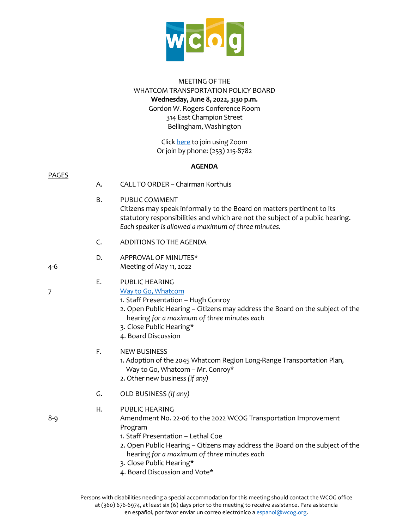

### MEETING OF THE WHATCOM TRANSPORTATION POLICY BOARD **Wednesday, June 8, 2022, 3:30 p.m.** Gordon W. Rogers Conference Room 314 East Champion Street Bellingham, Washington

Clic[k here](https://us06web.zoom.us/j/83011904848) to join using Zoom Or join by phone: (253) 215-8782

## **AGENDA**

| <b>PAGES</b> | Α. | CALL TO ORDER - Chairman Korthuis                                                                                                                                                                                                                                                              |
|--------------|----|------------------------------------------------------------------------------------------------------------------------------------------------------------------------------------------------------------------------------------------------------------------------------------------------|
|              | Β. | PUBLIC COMMENT<br>Citizens may speak informally to the Board on matters pertinent to its<br>statutory responsibilities and which are not the subject of a public hearing.<br>Each speaker is allowed a maximum of three minutes.                                                               |
|              | C. | ADDITIONS TO THE AGENDA                                                                                                                                                                                                                                                                        |
| 4-6          | D. | APPROVAL OF MINUTES*<br>Meeting of May 11, 2022                                                                                                                                                                                                                                                |
| 7            | Ε. | PUBLIC HEARING<br>Way to Go, Whatcom<br>1. Staff Presentation - Hugh Conroy<br>2. Open Public Hearing - Citizens may address the Board on the subject of the<br>hearing for a maximum of three minutes each<br>3. Close Public Hearing*<br>4. Board Discussion                                 |
|              | F. | <b>NEW BUSINESS</b><br>1. Adoption of the 2045 Whatcom Region Long-Range Transportation Plan,<br>Way to Go, Whatcom - Mr. Conroy*<br>2. Other new business (if any)                                                                                                                            |
|              | G. | OLD BUSINESS (if any)                                                                                                                                                                                                                                                                          |
| $8 - 9$      | Н. | PUBLIC HEARING<br>Amendment No. 22-06 to the 2022 WCOG Transportation Improvement<br>Program<br>1. Staff Presentation - Lethal Coe<br>2. Open Public Hearing - Citizens may address the Board on the subject of the<br>hearing for a maximum of three minutes each<br>3. Close Public Hearing* |

4. Board Discussion and Vote\*

Persons with disabilities needing a special accommodation for this meeting should contact the WCOG office at (360) 676-6974, at least six (6) days prior to the meeting to receive assistance. Para asistencia en español, por favor enviar un correo electrónico [a espanol@wcog.org.](mailto:espanol@wcog.org)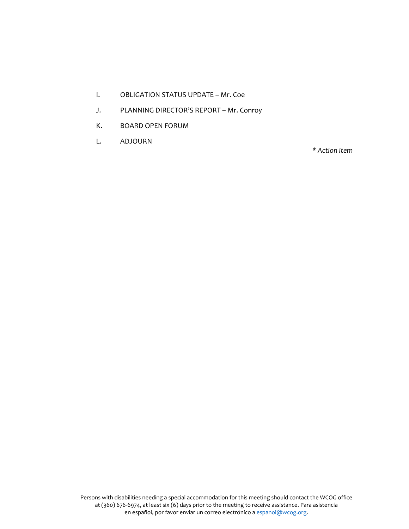- I. OBLIGATION STATUS UPDATE Mr. Coe
- J. PLANNING DIRECTOR'S REPORT Mr. Conroy
- K. BOARD OPEN FORUM
- L. ADJOURN

**\*** *Action item*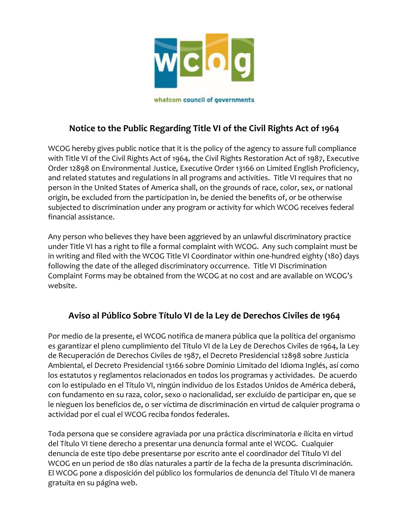

whatcom council of governments

# **Notice to the Public Regarding Title VI of the Civil Rights Act of 1964**

WCOG hereby gives public notice that it is the policy of the agency to assure full compliance with Title VI of the Civil Rights Act of 1964, the Civil Rights Restoration Act of 1987, Executive Order 12898 on Environmental Justice, Executive Order 13166 on Limited English Proficiency, and related statutes and regulations in all programs and activities. Title VI requires that no person in the United States of America shall, on the grounds of race, color, sex, or national origin, be excluded from the participation in, be denied the benefits of, or be otherwise subjected to discrimination under any program or activity for which WCOG receives federal financial assistance.

Any person who believes they have been aggrieved by an unlawful discriminatory practice under Title VI has a right to file a formal complaint with WCOG. Any such complaint must be in writing and filed with the WCOG Title VI Coordinator within one-hundred eighty (180) days following the date of the alleged discriminatory occurrence. Title VI Discrimination Complaint Forms may be obtained from the WCOG at no cost and are available on WCOG's website.

# **Aviso al Público Sobre Título VI de la Ley de Derechos Civiles de 1964**

Por medio de la presente, el WCOG notifica de manera pública que la política del organismo es garantizar el pleno cumplimiento del Título VI de la Ley de Derechos Civiles de 1964, la Ley de Recuperación de Derechos Civiles de 1987, el Decreto Presidencial 12898 sobre Justicia Ambiental, el Decreto Presidencial 13166 sobre Dominio Limitado del Idioma Inglés, así como los estatutos y reglamentos relacionados en todos los programas y actividades. De acuerdo con lo estipulado en el Título VI, ningún individuo de los Estados Unidos de América deberá, con fundamento en su raza, color, sexo o nacionalidad, ser excluido de participar en, que se le nieguen los beneficios de, o ser víctima de discriminación en virtud de calquier programa o actividad por el cual el WCOG reciba fondos federales.

Toda persona que se considere agraviada por una práctica discriminatoria e ilícita en virtud del Título VI tiene derecho a presentar una denuncia formal ante el WCOG. Cualquier denuncia de este tipo debe presentarse por escrito ante el coordinador del Título VI del WCOG en un period de 180 días naturales a partir de la fecha de la presunta discriminación. El WCOG pone a disposición del público los formularios de denuncia del Título VI de manera gratuita en su página web.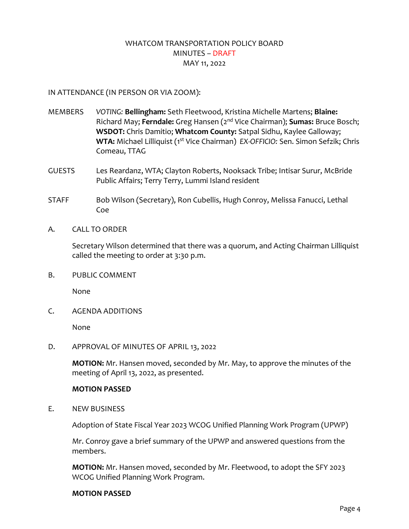# WHATCOM TRANSPORTATION POLICY BOARD MINUTES – DRAFT MAY 11, 2022

### IN ATTENDANCE (IN PERSON OR VIA ZOOM):

- MEMBERS *VOTING:* **Bellingham:** Seth Fleetwood, Kristina Michelle Martens; **Blaine:** Richard May; **Ferndale:** Greg Hansen (2nd Vice Chairman); **Sumas:** Bruce Bosch; **WSDOT:** Chris Damitio; **Whatcom County:** Satpal Sidhu, Kaylee Galloway; **WTA:** Michael Lilliquist (1<sup>st</sup> Vice Chairman) *EX-OFFICIO: Sen. Simon Sefzik; Chris* Comeau, TTAG
- GUESTS Les Reardanz, WTA; Clayton Roberts, Nooksack Tribe; Intisar Surur, McBride Public Affairs; Terry Terry, Lummi Island resident
- STAFF Bob Wilson (Secretary), Ron Cubellis, Hugh Conroy, Melissa Fanucci, Lethal Coe
- A. CALL TO ORDER

Secretary Wilson determined that there was a quorum, and Acting Chairman Lilliquist called the meeting to order at 3:30 p.m.

B. PUBLIC COMMENT

None

C. AGENDA ADDITIONS

None

D. APPROVAL OF MINUTES OF APRIL 13, 2022

**MOTION:** Mr. Hansen moved, seconded by Mr. May, to approve the minutes of the meeting of April 13, 2022, as presented.

#### **MOTION PASSED**

E. NEW BUSINESS

Adoption of State Fiscal Year 2023 WCOG Unified Planning Work Program (UPWP)

Mr. Conroy gave a brief summary of the UPWP and answered questions from the members.

**MOTION:** Mr. Hansen moved, seconded by Mr. Fleetwood, to adopt the SFY 2023 WCOG Unified Planning Work Program.

#### **MOTION PASSED**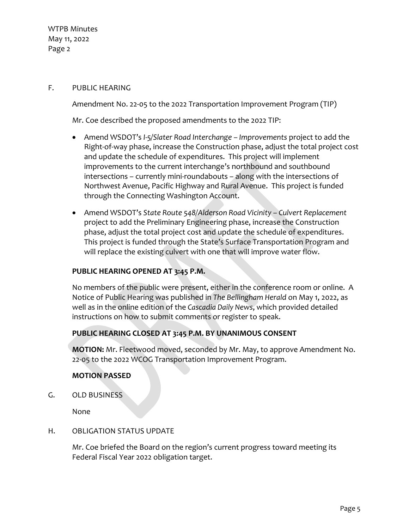### F. PUBLIC HEARING

Amendment No. 22-05 to the 2022 Transportation Improvement Program (TIP)

Mr. Coe described the proposed amendments to the 2022 TIP:

- Amend WSDOT's *I-5/Slater Road Interchange Improvements* project to add the Right-of-way phase, increase the Construction phase, adjust the total project cost and update the schedule of expenditures. This project will implement improvements to the current interchange's northbound and southbound intersections – currently mini-roundabouts – along with the intersections of Northwest Avenue, Pacific Highway and Rural Avenue. This project is funded through the Connecting Washington Account.
- Amend WSDOT's *State Route 548/Alderson Road Vicinity Culvert Replacement* project to add the Preliminary Engineering phase, increase the Construction phase, adjust the total project cost and update the schedule of expenditures. This project is funded through the State's Surface Transportation Program and will replace the existing culvert with one that will improve water flow.

## **PUBLIC HEARING OPENED AT 3:45 P.M.**

No members of the public were present, either in the conference room or online. A Notice of Public Hearing was published in *The Bellingham Herald* on May 1, 2022, as well as in the online edition of the *Cascadia Daily News*, which provided detailed instructions on how to submit comments or register to speak.

### **PUBLIC HEARING CLOSED AT 3:45 P.M. BY UNANIMOUS CONSENT**

**MOTION:** Mr. Fleetwood moved, seconded by Mr. May, to approve Amendment No. 22-05 to the 2022 WCOG Transportation Improvement Program.

### **MOTION PASSED**

G. OLD BUSINESS

None

## H. OBLIGATION STATUS UPDATE

Mr. Coe briefed the Board on the region's current progress toward meeting its Federal Fiscal Year 2022 obligation target.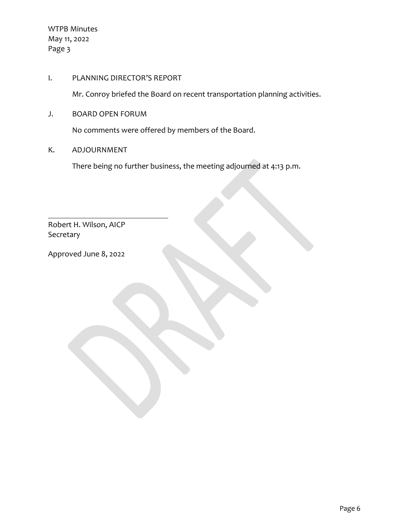I. PLANNING DIRECTOR'S REPORT

Mr. Conroy briefed the Board on recent transportation planning activities.

J. BOARD OPEN FORUM

No comments were offered by members of the Board.

K. ADJOURNMENT

There being no further business, the meeting adjourned at 4:13 p.m.

Robert H. Wilson, AICP Secretary

Approved June 8, 2022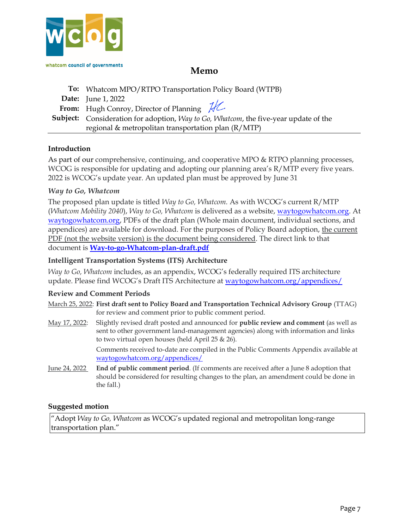

# **Memo**

**To:** Whatcom MPO/RTPO Transportation Policy Board (WTPB) **Date:** June 1, 2022 From: Hugh Conroy, Director of Planning  $\mathcal{H}$ **Subject:** Consideration for adoption, *Way to Go, Whatcom*, the five-year update of the regional & metropolitan transportation plan (R/MTP)

### **Introduction**

As part of our comprehensive, continuing, and cooperative MPO & RTPO planning processes, WCOG is responsible for updating and adopting our planning area's R/MTP every five years. 2022 is WCOG's update year. An updated plan must be approved by June 31

#### *Way to Go, Whatcom*

The proposed plan update is titled *Way to Go, Whatcom.* As with WCOG's current R/MTP (*Whatcom Mobility 2040*), *Way to Go, Whatcom* is delivered as a website, [waytogowhatcom.org.](http://www.waytogowhatcom.org/) At [waytogowhatcom.org,](http://www.waytogowhatcom.org/) PDFs of the draft plan (Whole main document, individual sections, and appendices) are available for download. For the purposes of Policy Board adoption, the current PDF (not the website version) is the document being considered. The direct link to that document is **[Way-to-go-Whatcom-plan-draft.pdf](https://waytogowhatcom.org/wp-content/uploads/2022/06/Way-to-go-Whatcom-plan-draft.pdf)**

#### **Intelligent Transportation Systems (ITS) Architecture**

*Way to Go, Whatcom* includes, as an appendix, WCOG's federally required ITS architecture update. Please find WCOG's Draft ITS Architecture at [waytogowhatcom.org/appendices/](https://waytogowhatcom.org/appendices/)

#### **Review and Comment Periods**

March 25, 2022: **First draft sent to Policy Board and Transportation Technical Advisory Group** (TTAG) for review and comment prior to public comment period.

May 17, 2022: Slightly revised draft posted and announced for **public review and comment** (as well as sent to other government land-management agencies) along with information and links to two virtual open houses (held April 25 & 26).

> Comments received to-date are compiled in the Public Comments Appendix available at [waytogowhatcom.org/appendices/](https://waytogowhatcom.org/appendices/)

June 24, 2022 **End of public comment period**. (If comments are received after a June 8 adoption that should be considered for resulting changes to the plan, an amendment could be done in the fall.)

#### **Suggested motion**

"Adopt *Way to Go, Whatcom* as WCOG's updated regional and metropolitan long-range transportation plan."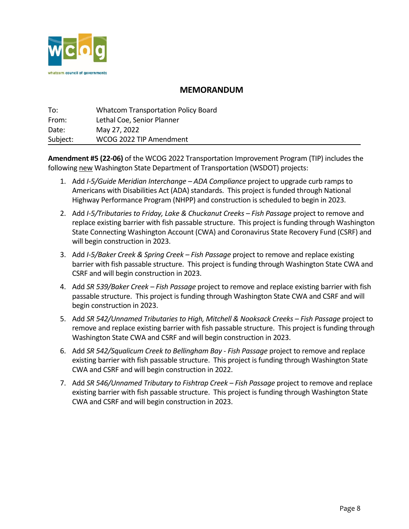

# **MEMORANDUM**

| To:      | <b>Whatcom Transportation Policy Board</b> |
|----------|--------------------------------------------|
| From:    | Lethal Coe, Senior Planner                 |
| Date:    | May 27, 2022                               |
| Subject: | WCOG 2022 TIP Amendment                    |

**Amendment #5 (22-06)** of the WCOG 2022 Transportation Improvement Program (TIP) includes the following new Washington State Department of Transportation (WSDOT) projects:

- 1. Add *I-5/Guide Meridian Interchange ADA Compliance* project to upgrade curb ramps to Americans with Disabilities Act (ADA) standards. This project is funded through National Highway Performance Program (NHPP) and construction is scheduled to begin in 2023.
- 2. Add *I-5/Tributaries to Friday, Lake & Chuckanut Creeks Fish Passage* project to remove and replace existing barrier with fish passable structure. This project is funding through Washington State Connecting Washington Account (CWA) and Coronavirus State Recovery Fund (CSRF) and will begin construction in 2023.
- 3. Add *I-5/Baker Creek & Spring Creek Fish Passage* project to remove and replace existing barrier with fish passable structure. This project is funding through Washington State CWA and CSRF and will begin construction in 2023.
- 4. Add *SR 539/Baker Creek Fish Passage* project to remove and replace existing barrier with fish passable structure. This project is funding through Washington State CWA and CSRF and will begin construction in 2023.
- 5. Add *SR 542/Unnamed Tributaries to High, Mitchell & Nooksack Creeks Fish Passage* project to remove and replace existing barrier with fish passable structure. This project is funding through Washington State CWA and CSRF and will begin construction in 2023.
- 6. Add *SR 542/Squalicum Creek to Bellingham Bay Fish Passage* project to remove and replace existing barrier with fish passable structure. This project is funding through Washington State CWA and CSRF and will begin construction in 2022.
- 7. Add *SR 546/Unnamed Tributary to Fishtrap Creek Fish Passage* project to remove and replace existing barrier with fish passable structure. This project is funding through Washington State CWA and CSRF and will begin construction in 2023.